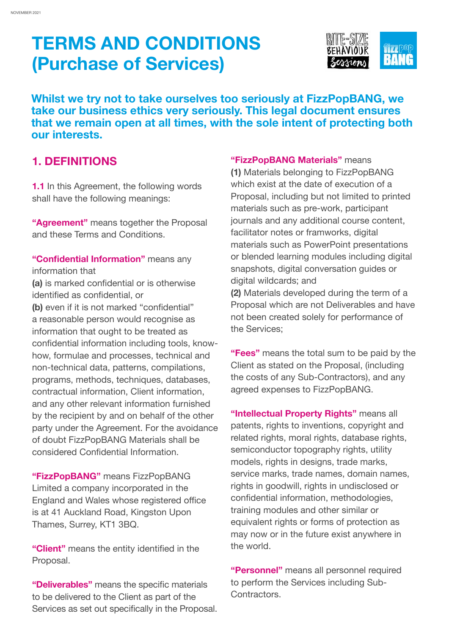

**Whilst we try not to take ourselves too seriously at FizzPopBANG, we take our business ethics very seriously. This legal document ensures that we remain open at all times, with the sole intent of protecting both our interests.**

### **1. DEFINITIONS**

**1.1** In this Agreement, the following words shall have the following meanings:

**"Agreement"** means together the Proposal and these Terms and Conditions.

**"Confidential Information"** means any information that

**(a)** is marked confidential or is otherwise identified as confidential, or

**(b)** even if it is not marked "confidential" a reasonable person would recognise as information that ought to be treated as confidential information including tools, knowhow, formulae and processes, technical and non-technical data, patterns, compilations, programs, methods, techniques, databases, contractual information, Client information, and any other relevant information furnished by the recipient by and on behalf of the other party under the Agreement. For the avoidance of doubt FizzPopBANG Materials shall be considered Confidential Information.

**"FizzPopBANG"** means FizzPopBANG Limited a company incorporated in the England and Wales whose registered office is at 41 Auckland Road, Kingston Upon Thames, Surrey, KT1 3BQ.

**"Client"** means the entity identified in the Proposal.

**"Deliverables"** means the specific materials to be delivered to the Client as part of the Services as set out specifically in the Proposal. **"FizzPopBANG Materials"** means **(1)** Materials belonging to FizzPopBANG which exist at the date of execution of a Proposal, including but not limited to printed materials such as pre-work, participant journals and any additional course content, facilitator notes or framworks, digital materials such as PowerPoint presentations or blended learning modules including digital snapshots, digital conversation guides or digital wildcards; and **(2)** Materials developed during the term of a Proposal which are not Deliverables and have not been created solely for performance of

**"Fees"** means the total sum to be paid by the Client as stated on the Proposal, (including the costs of any Sub-Contractors), and any agreed expenses to FizzPopBANG.

the Services;

**"Intellectual Property Rights"** means all patents, rights to inventions, copyright and related rights, moral rights, database rights, semiconductor topography rights, utility models, rights in designs, trade marks, service marks, trade names, domain names, rights in goodwill, rights in undisclosed or confidential information, methodologies, training modules and other similar or equivalent rights or forms of protection as may now or in the future exist anywhere in the world.

**"Personnel"** means all personnel required to perform the Services including Sub-Contractors.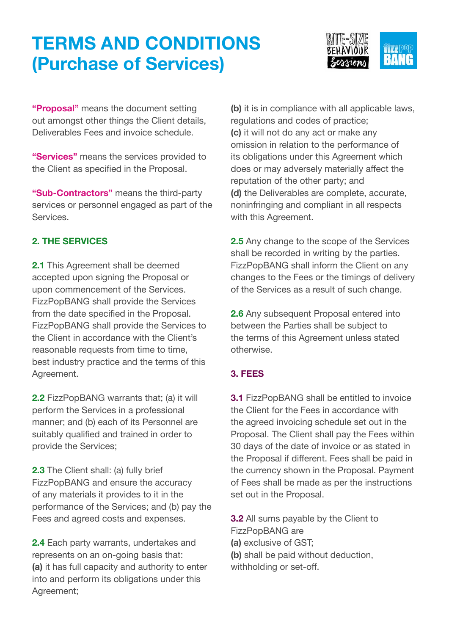

**"Proposal"** means the document setting out amongst other things the Client details, Deliverables Fees and invoice schedule.

**"Services"** means the services provided to the Client as specified in the Proposal.

**"Sub-Contractors"** means the third-party services or personnel engaged as part of the Services.

### **2. THE SERVICES**

**2.1** This Agreement shall be deemed accepted upon signing the Proposal or upon commencement of the Services. FizzPopBANG shall provide the Services from the date specified in the Proposal. FizzPopBANG shall provide the Services to the Client in accordance with the Client's reasonable requests from time to time, best industry practice and the terms of this Agreement.

**2.2** FizzPopBANG warrants that; (a) it will perform the Services in a professional manner; and (b) each of its Personnel are suitably qualified and trained in order to provide the Services;

**2.3** The Client shall: (a) fully brief FizzPopBANG and ensure the accuracy of any materials it provides to it in the performance of the Services; and (b) pay the Fees and agreed costs and expenses.

**2.4** Each party warrants, undertakes and represents on an on-going basis that: **(a)** it has full capacity and authority to enter into and perform its obligations under this Agreement;

**(b)** it is in compliance with all applicable laws, regulations and codes of practice; **(c)** it will not do any act or make any omission in relation to the performance of its obligations under this Agreement which does or may adversely materially affect the reputation of the other party; and **(d)** the Deliverables are complete, accurate, noninfringing and compliant in all respects with this Agreement.

**2.5** Any change to the scope of the Services shall be recorded in writing by the parties. FizzPopBANG shall inform the Client on any changes to the Fees or the timings of delivery of the Services as a result of such change.

**2.6** Any subsequent Proposal entered into between the Parties shall be subject to the terms of this Agreement unless stated otherwise.

### **3. FEES**

**3.1** FizzPopBANG shall be entitled to invoice the Client for the Fees in accordance with the agreed invoicing schedule set out in the Proposal. The Client shall pay the Fees within 30 days of the date of invoice or as stated in the Proposal if different. Fees shall be paid in the currency shown in the Proposal. Payment of Fees shall be made as per the instructions set out in the Proposal.

**3.2** All sums payable by the Client to FizzPopBANG are

**(a)** exclusive of GST;

**(b)** shall be paid without deduction,

withholding or set-off.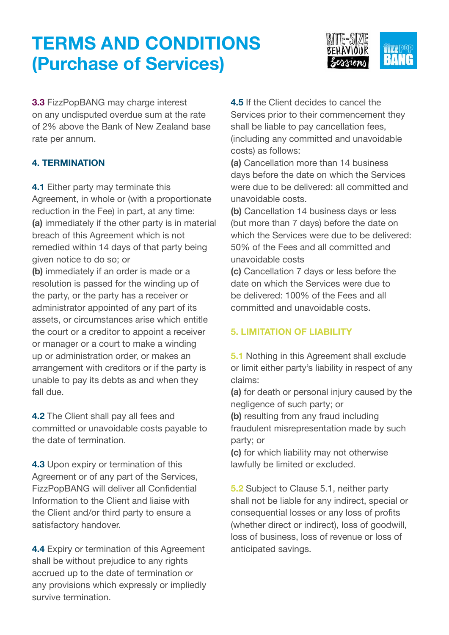

**3.3** FizzPopBANG may charge interest on any undisputed overdue sum at the rate of 2% above the Bank of New Zealand base rate per annum.

### **4. TERMINATION**

**4.1 Either party may terminate this** Agreement, in whole or (with a proportionate reduction in the Fee) in part, at any time: **(a)** immediately if the other party is in material breach of this Agreement which is not remedied within 14 days of that party being given notice to do so; or

**(b)** immediately if an order is made or a resolution is passed for the winding up of the party, or the party has a receiver or administrator appointed of any part of its assets, or circumstances arise which entitle the court or a creditor to appoint a receiver or manager or a court to make a winding up or administration order, or makes an arrangement with creditors or if the party is unable to pay its debts as and when they fall due.

**4.2** The Client shall pay all fees and committed or unavoidable costs payable to the date of termination.

**4.3** Upon expiry or termination of this Agreement or of any part of the Services, FizzPopBANG will deliver all Confidential Information to the Client and liaise with the Client and/or third party to ensure a satisfactory handover.

**4.4** Expiry or termination of this Agreement shall be without prejudice to any rights accrued up to the date of termination or any provisions which expressly or impliedly survive termination.

**4.5** If the Client decides to cancel the Services prior to their commencement they shall be liable to pay cancellation fees, (including any committed and unavoidable costs) as follows:

**(a)** Cancellation more than 14 business days before the date on which the Services were due to be delivered: all committed and unavoidable costs.

**(b)** Cancellation 14 business days or less (but more than 7 days) before the date on which the Services were due to be delivered: 50% of the Fees and all committed and unavoidable costs

**(c)** Cancellation 7 days or less before the date on which the Services were due to be delivered: 100% of the Fees and all committed and unavoidable costs.

#### **5. LIMITATION OF LIABILITY**

**5.1** Nothing in this Agreement shall exclude or limit either party's liability in respect of any claims:

**(a)** for death or personal injury caused by the negligence of such party; or

**(b)** resulting from any fraud including fraudulent misrepresentation made by such party; or

**(c)** for which liability may not otherwise lawfully be limited or excluded.

**5.2** Subject to Clause 5.1, neither party shall not be liable for any indirect, special or consequential losses or any loss of profits (whether direct or indirect), loss of goodwill, loss of business, loss of revenue or loss of anticipated savings.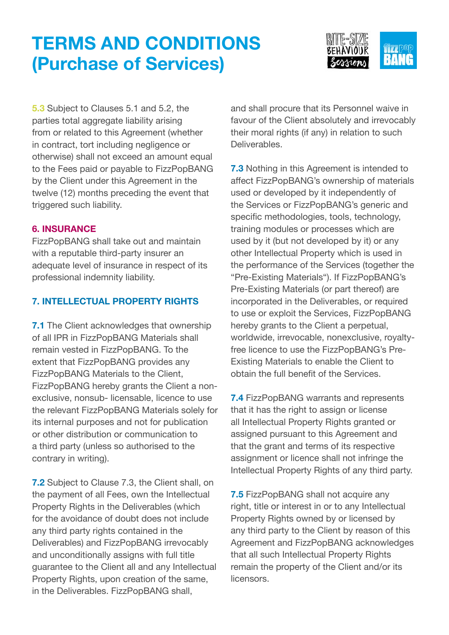

**5.3** Subject to Clauses 5.1 and 5.2, the parties total aggregate liability arising from or related to this Agreement (whether in contract, tort including negligence or otherwise) shall not exceed an amount equal to the Fees paid or payable to FizzPopBANG by the Client under this Agreement in the twelve (12) months preceding the event that triggered such liability.

#### **6. INSURANCE**

FizzPopBANG shall take out and maintain with a reputable third-party insurer an adequate level of insurance in respect of its professional indemnity liability.

### **7. INTELLECTUAL PROPERTY RIGHTS**

**7.1** The Client acknowledges that ownership of all IPR in FizzPopBANG Materials shall remain vested in FizzPopBANG. To the extent that FizzPopBANG provides any FizzPopBANG Materials to the Client, FizzPopBANG hereby grants the Client a nonexclusive, nonsub- licensable, licence to use the relevant FizzPopBANG Materials solely for its internal purposes and not for publication or other distribution or communication to a third party (unless so authorised to the contrary in writing).

**7.2** Subject to Clause 7.3, the Client shall, on the payment of all Fees, own the Intellectual Property Rights in the Deliverables (which for the avoidance of doubt does not include any third party rights contained in the Deliverables) and FizzPopBANG irrevocably and unconditionally assigns with full title guarantee to the Client all and any Intellectual Property Rights, upon creation of the same, in the Deliverables. FizzPopBANG shall,

and shall procure that its Personnel waive in favour of the Client absolutely and irrevocably their moral rights (if any) in relation to such Deliverables.

**7.3** Nothing in this Agreement is intended to affect FizzPopBANG's ownership of materials used or developed by it independently of the Services or FizzPopBANG's generic and specific methodologies, tools, technology, training modules or processes which are used by it (but not developed by it) or any other Intellectual Property which is used in the performance of the Services (together the "Pre-Existing Materials"). If FizzPopBANG's Pre-Existing Materials (or part thereof) are incorporated in the Deliverables, or required to use or exploit the Services, FizzPopBANG hereby grants to the Client a perpetual, worldwide, irrevocable, nonexclusive, royaltyfree licence to use the FizzPopBANG's Pre-Existing Materials to enable the Client to obtain the full benefit of the Services.

**7.4** FizzPopBANG warrants and represents that it has the right to assign or license all Intellectual Property Rights granted or assigned pursuant to this Agreement and that the grant and terms of its respective assignment or licence shall not infringe the Intellectual Property Rights of any third party.

**7.5** FizzPopBANG shall not acquire any right, title or interest in or to any Intellectual Property Rights owned by or licensed by any third party to the Client by reason of this Agreement and FizzPopBANG acknowledges that all such Intellectual Property Rights remain the property of the Client and/or its licensors.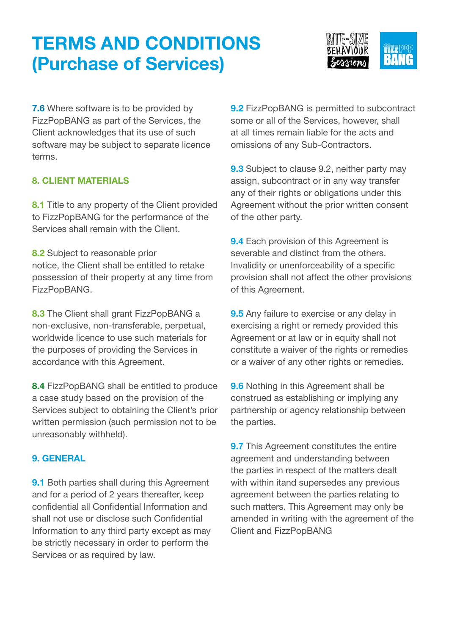

**7.6** Where software is to be provided by FizzPopBANG as part of the Services, the Client acknowledges that its use of such software may be subject to separate licence terms.

### **8. CLIENT MATERIALS**

**8.1** Title to any property of the Client provided to FizzPopBANG for the performance of the Services shall remain with the Client.

**8.2** Subject to reasonable prior notice, the Client shall be entitled to retake possession of their property at any time from FizzPopBANG.

**8.3** The Client shall grant FizzPopBANG a non-exclusive, non-transferable, perpetual, worldwide licence to use such materials for the purposes of providing the Services in accordance with this Agreement.

**8.4** FizzPopBANG shall be entitled to produce a case study based on the provision of the Services subject to obtaining the Client's prior written permission (such permission not to be unreasonably withheld).

#### **9. GENERAL**

**9.1** Both parties shall during this Agreement and for a period of 2 years thereafter, keep confidential all Confidential Information and shall not use or disclose such Confidential Information to any third party except as may be strictly necessary in order to perform the Services or as required by law.

**9.2** FizzPopBANG is permitted to subcontract some or all of the Services, however, shall at all times remain liable for the acts and omissions of any Sub-Contractors.

**9.3** Subject to clause 9.2, neither party may assign, subcontract or in any way transfer any of their rights or obligations under this Agreement without the prior written consent of the other party.

**9.4** Each provision of this Agreement is severable and distinct from the others. Invalidity or unenforceability of a specific provision shall not affect the other provisions of this Agreement.

**9.5** Any failure to exercise or any delay in exercising a right or remedy provided this Agreement or at law or in equity shall not constitute a waiver of the rights or remedies or a waiver of any other rights or remedies.

**9.6** Nothing in this Agreement shall be construed as establishing or implying any partnership or agency relationship between the parties.

**9.7** This Agreement constitutes the entire agreement and understanding between the parties in respect of the matters dealt with within itand supersedes any previous agreement between the parties relating to such matters. This Agreement may only be amended in writing with the agreement of the Client and FizzPopBANG